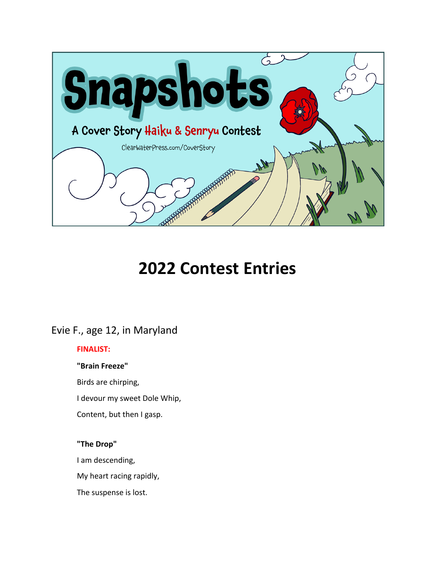

# **2022 Contest Entries**

## Evie F., age 12, in Maryland

#### **FINALIST:**

#### **"Brain Freeze"**

Birds are chirping,

I devour my sweet Dole Whip,

Content, but then I gasp.

#### **"The Drop"**

I am descending,

My heart racing rapidly,

The suspense is lost.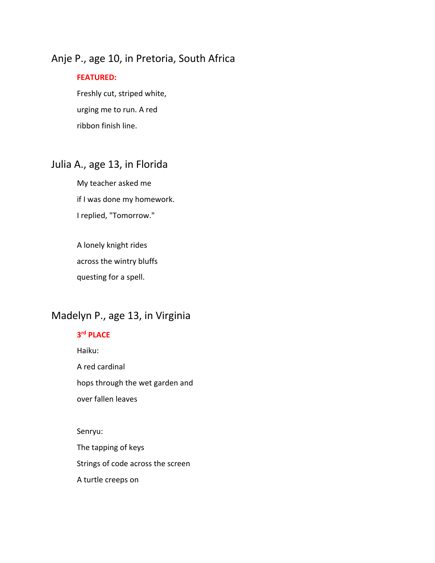## Anje P., age 10, in Pretoria, South Africa

#### **FEATURED:**

Freshly cut, striped white, urging me to run. A red ribbon finish line.

## Julia A., age 13, in Florida

My teacher asked me if I was done my homework. I replied, "Tomorrow."

A lonely knight rides across the wintry bluffs questing for a spell.

## Madelyn P., age 13, in Virginia

#### **3rd PLACE**

Haiku: A red cardinal hops through the wet garden and over fallen leaves

Senryu: The tapping of keys Strings of code across the screen A turtle creeps on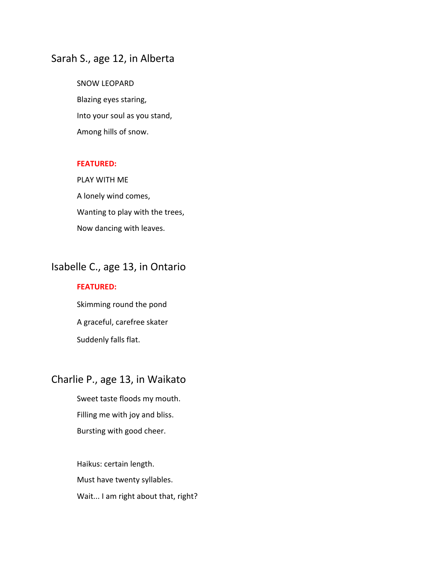### Sarah S., age 12, in Alberta

SNOW LEOPARD Blazing eyes staring, Into your soul as you stand, Among hills of snow.

#### **FEATURED:**

PLAY WITH ME A lonely wind comes, Wanting to play with the trees, Now dancing with leaves.

## Isabelle C., age 13, in Ontario

#### **FEATURED:**

Skimming round the pond A graceful, carefree skater Suddenly falls flat.

### Charlie P., age 13, in Waikato

Sweet taste floods my mouth. Filling me with joy and bliss. Bursting with good cheer.

Haikus: certain length. Must have twenty syllables. Wait... I am right about that, right?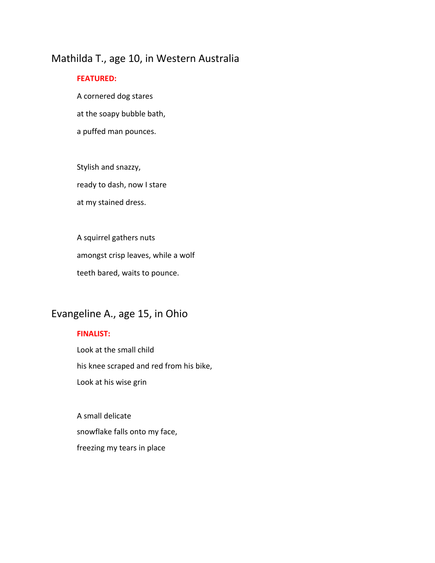## Mathilda T., age 10, in Western Australia

#### **FEATURED:**

A cornered dog stares at the soapy bubble bath, a puffed man pounces.

Stylish and snazzy, ready to dash, now I stare at my stained dress.

A squirrel gathers nuts amongst crisp leaves, while a wolf teeth bared, waits to pounce.

## Evangeline A., age 15, in Ohio

#### **FINALIST:**

Look at the small child his knee scraped and red from his bike, Look at his wise grin

A small delicate snowflake falls onto my face, freezing my tears in place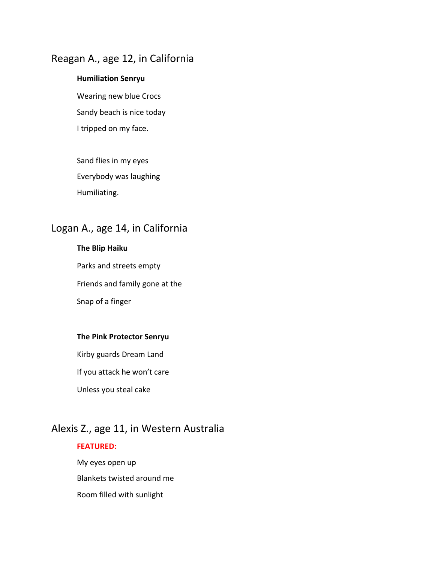## Reagan A., age 12, in California

#### **Humiliation Senryu**

Wearing new blue Crocs Sandy beach is nice today I tripped on my face.

Sand flies in my eyes Everybody was laughing Humiliating.

## Logan A., age 14, in California

#### **The Blip Haiku**

Parks and streets empty Friends and family gone at the Snap of a finger

#### **The Pink Protector Senryu**

Kirby guards Dream Land

If you attack he won't care

Unless you steal cake

## Alexis Z., age 11, in Western Australia

#### **FEATURED:**

My eyes open up Blankets twisted around me Room filled with sunlight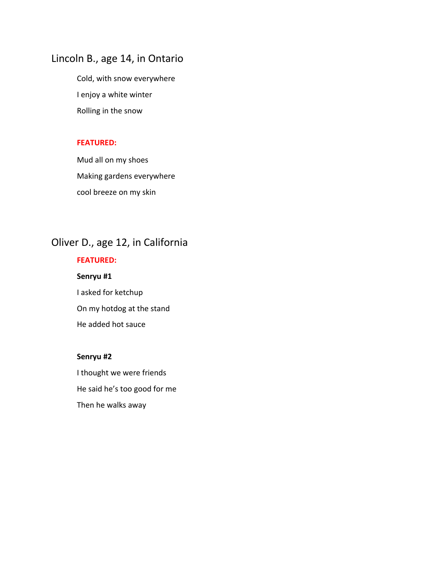## Lincoln B., age 14, in Ontario

Cold, with snow everywhere I enjoy a white winter Rolling in the snow

#### **FEATURED:**

Mud all on my shoes Making gardens everywhere cool breeze on my skin

## Oliver D., age 12, in California

### **FEATURED:**

**Senryu #1** I asked for ketchup On my hotdog at the stand He added hot sauce

#### **Senryu #2**

I thought we were friends He said he's too good for me Then he walks away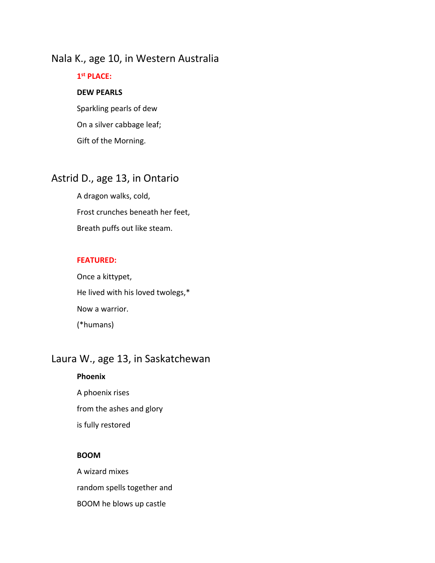### Nala K., age 10, in Western Australia

## **1st PLACE:**

#### **DEW PEARLS**

Sparkling pearls of dew On a silver cabbage leaf; Gift of the Morning.

## Astrid D., age 13, in Ontario

A dragon walks, cold, Frost crunches beneath her feet, Breath puffs out like steam.

#### **FEATURED:**

Once a kittypet, He lived with his loved twolegs,\* Now a warrior. (\*humans)

## Laura W., age 13, in Saskatchewan

#### **Phoenix**

A phoenix rises from the ashes and glory is fully restored

#### **BOOM**

A wizard mixes random spells together and BOOM he blows up castle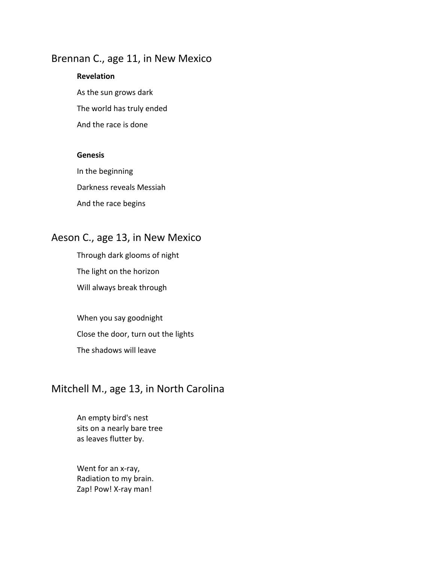### Brennan C., age 11, in New Mexico

## **Revelation**

As the sun grows dark The world has truly ended And the race is done

#### **Genesis**

In the beginning Darkness reveals Messiah And the race begins

## Aeson C., age 13, in New Mexico

Through dark glooms of night The light on the horizon Will always break through

When you say goodnight Close the door, turn out the lights The shadows will leave

## Mitchell M., age 13, in North Carolina

An empty bird's nest sits on a nearly bare tree as leaves flutter by.

Went for an x-ray, Radiation to my brain. Zap! Pow! X-ray man!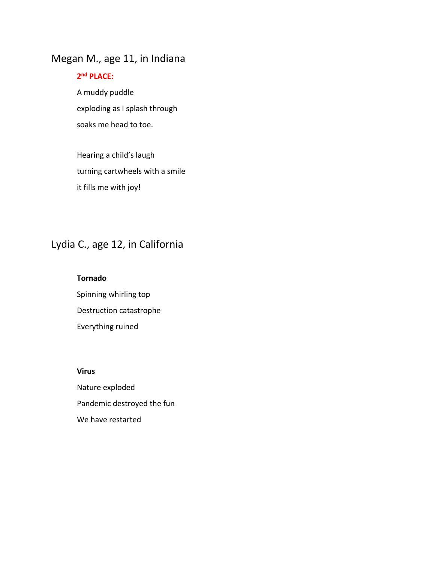## Megan M., age 11, in Indiana

#### **2nd PLACE:**

A muddy puddle exploding as I splash through soaks me head to toe.

Hearing a child's laugh turning cartwheels with a smile it fills me with joy!

## Lydia C., age 12, in California

#### **Tornado**

Spinning whirling top Destruction catastrophe Everything ruined

#### **Virus**

Nature exploded Pandemic destroyed the fun We have restarted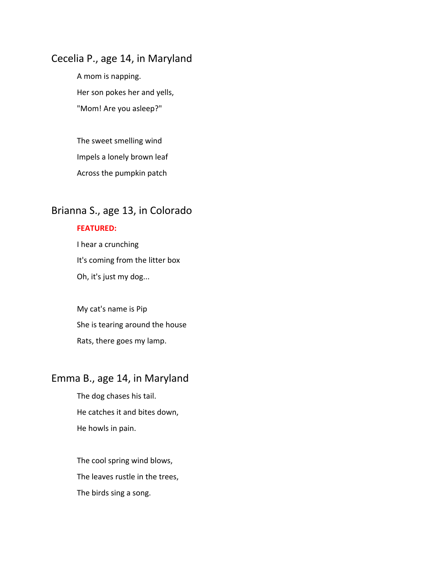### Cecelia P., age 14, in Maryland

A mom is napping. Her son pokes her and yells, "Mom! Are you asleep?"

The sweet smelling wind Impels a lonely brown leaf Across the pumpkin patch

## Brianna S., age 13, in Colorado

#### **FEATURED:**

I hear a crunching It's coming from the litter box Oh, it's just my dog...

My cat's name is Pip She is tearing around the house Rats, there goes my lamp.

### Emma B., age 14, in Maryland

The dog chases his tail. He catches it and bites down, He howls in pain.

The cool spring wind blows, The leaves rustle in the trees, The birds sing a song.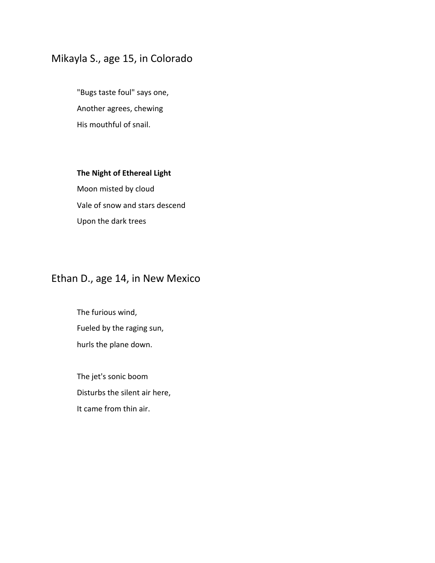## Mikayla S., age 15, in Colorado

"Bugs taste foul" says one, Another agrees, chewing His mouthful of snail.

#### **The Night of Ethereal Light**

Moon misted by cloud Vale of snow and stars descend Upon the dark trees

## Ethan D., age 14, in New Mexico

The furious wind, Fueled by the raging sun, hurls the plane down.

The jet's sonic boom Disturbs the silent air here, It came from thin air.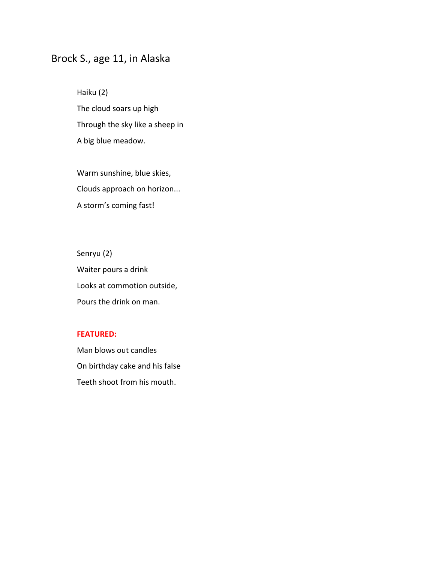## Brock S., age 11, in Alaska

Haiku (2) The cloud soars up high Through the sky like a sheep in A big blue meadow.

Warm sunshine, blue skies, Clouds approach on horizon... A storm's coming fast!

Senryu (2) Waiter pours a drink Looks at commotion outside, Pours the drink on man.

#### **FEATURED:**

Man blows out candles On birthday cake and his false Teeth shoot from his mouth.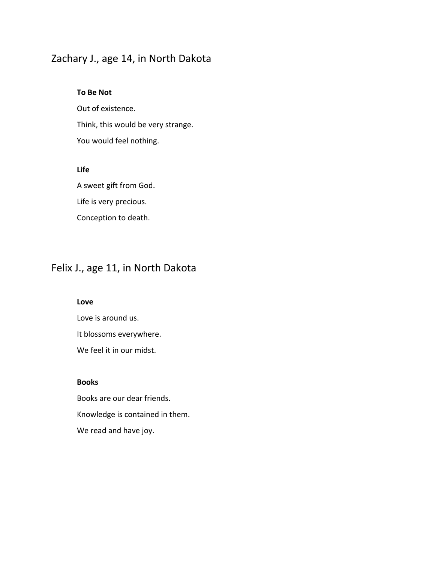## Zachary J., age 14, in North Dakota

#### **To Be Not**

Out of existence. Think, this would be very strange. You would feel nothing.

#### **Life**

A sweet gift from God. Life is very precious. Conception to death.

## Felix J., age 11, in North Dakota

#### **Love**

Love is around us. It blossoms everywhere. We feel it in our midst.

#### **Books**

Books are our dear friends. Knowledge is contained in them. We read and have joy.